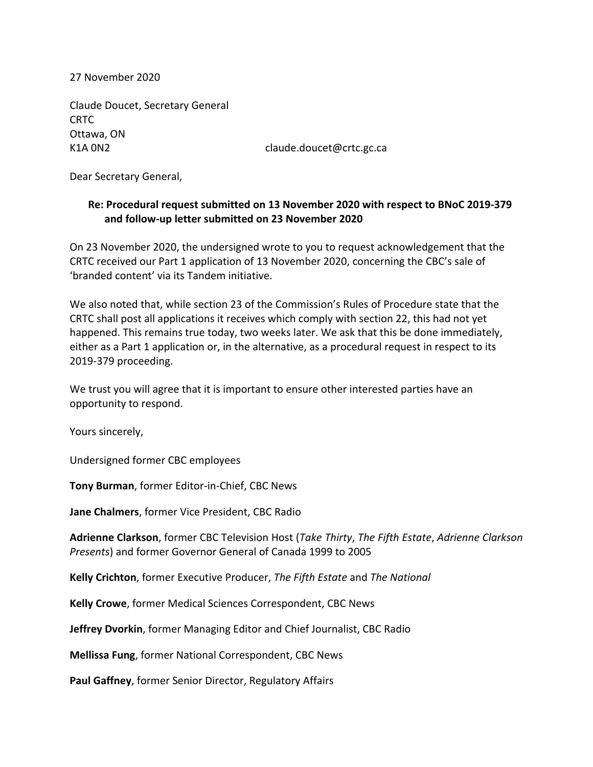27 November 2020

Claude Doucet, Secretary General CRTC Ottawa, ON K1A 0N2 claude.doucet@crtc.gc.ca

Dear Secretary General,

## **Re: Procedural request submitted on 13 November 2020 with respect to BNoC 2019-379 and follow-up letter submitted on 23 November 2020**

On 23 November 2020, the undersigned wrote to you to request acknowledgement that the CRTC received our Part 1 application of 13 November 2020, concerning the CBC's sale of 'branded content' via its Tandem initiative.

We also noted that, while section 23 of the Commission's Rules of Procedure state that the CRTC shall post all applications it receives which comply with section 22, this had not yet happened. This remains true today, two weeks later. We ask that this be done immediately, either as a Part 1 application or, in the alternative, as a procedural request in respect to its 2019-379 proceeding.

We trust you will agree that it is important to ensure other interested parties have an opportunity to respond.

Yours sincerely,

Undersigned former CBC employees

**Tony Burman**, former Editor-in-Chief, CBC News

**Jane Chalmers**, former Vice President, CBC Radio

**Adrienne Clarkson**, former CBC Television Host (*Take Thirty*, *The Fifth Estate*, *Adrienne Clarkson Presents*) and former Governor General of Canada 1999 to 2005

**Kelly Crichton**, former Executive Producer, *The Fifth Estate* and *The National*

**Kelly Crowe**, former Medical Sciences Correspondent, CBC News

**Jeffrey Dvorkin**, former Managing Editor and Chief Journalist, CBC Radio

**Mellissa Fung**, former National Correspondent, CBC News

**Paul Gaffney**, former Senior Director, Regulatory Affairs